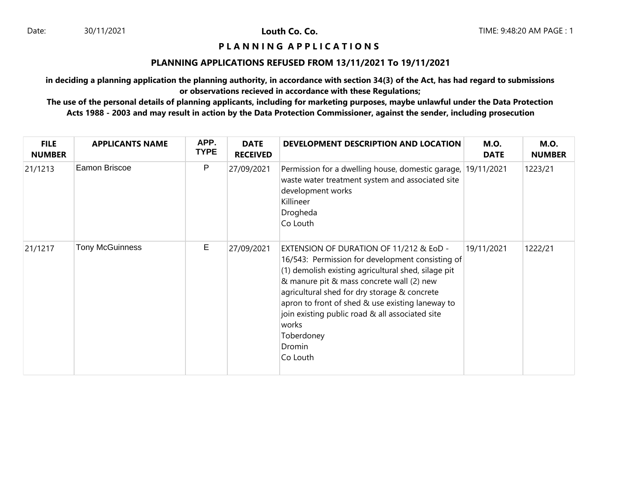# **P L A N N I N G A P P L I C A T I O N S**

### **PLANNING APPLICATIONS REFUSED FROM 13/11/2021 To 19/11/2021**

**in deciding a planning application the planning authority, in accordance with section 34(3) of the Act, has had regard to submissions or observations recieved in accordance with these Regulations;**

**The use of the personal details of planning applicants, including for marketing purposes, maybe unlawful under the Data Protection Acts 1988 - 2003 and may result in action by the Data Protection Commissioner, against the sender, including prosecution**

| <b>FILE</b><br><b>NUMBER</b> | <b>APPLICANTS NAME</b> | APP.<br><b>TYPE</b> | <b>DATE</b><br><b>RECEIVED</b> | DEVELOPMENT DESCRIPTION AND LOCATION                                                                                                                                                                                                                                                                                                                                                                | <b>M.O.</b><br><b>DATE</b> | <b>M.O.</b><br><b>NUMBER</b> |
|------------------------------|------------------------|---------------------|--------------------------------|-----------------------------------------------------------------------------------------------------------------------------------------------------------------------------------------------------------------------------------------------------------------------------------------------------------------------------------------------------------------------------------------------------|----------------------------|------------------------------|
| 21/1213                      | Eamon Briscoe          | P                   | 27/09/2021                     | Permission for a dwelling house, domestic garage, 19/11/2021<br>waste water treatment system and associated site<br>development works<br>Killineer<br>Drogheda<br>Co Louth                                                                                                                                                                                                                          |                            | 1223/21                      |
| 21/1217                      | <b>Tony McGuinness</b> | Е                   | 27/09/2021                     | EXTENSION OF DURATION OF 11/212 & EoD -<br>16/543: Permission for development consisting of<br>(1) demolish existing agricultural shed, silage pit<br>& manure pit & mass concrete wall (2) new<br>agricultural shed for dry storage & concrete<br>apron to front of shed & use existing laneway to<br>join existing public road & all associated site<br>works<br>Toberdoney<br>Dromin<br>Co Louth | 19/11/2021                 | 1222/21                      |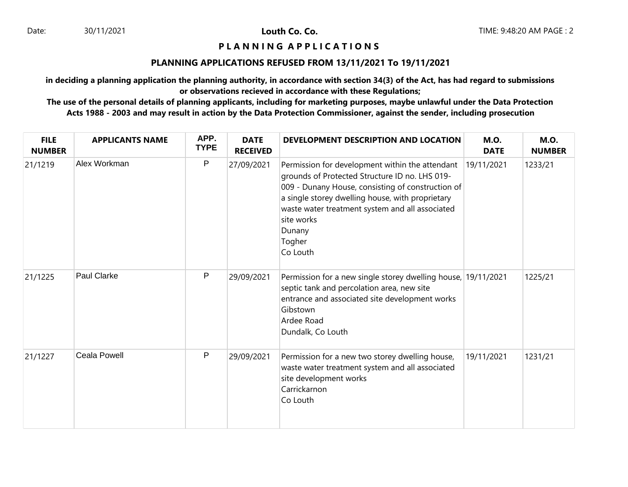### **P L A N N I N G A P P L I C A T I O N S**

### **PLANNING APPLICATIONS REFUSED FROM 13/11/2021 To 19/11/2021**

**in deciding a planning application the planning authority, in accordance with section 34(3) of the Act, has had regard to submissions or observations recieved in accordance with these Regulations;**

**The use of the personal details of planning applicants, including for marketing purposes, maybe unlawful under the Data Protection Acts 1988 - 2003 and may result in action by the Data Protection Commissioner, against the sender, including prosecution**

| <b>FILE</b><br><b>NUMBER</b> | <b>APPLICANTS NAME</b> | APP.<br><b>TYPE</b> | <b>DATE</b><br><b>RECEIVED</b> | DEVELOPMENT DESCRIPTION AND LOCATION                                                                                                                                                                                                                                                                        | <b>M.O.</b><br><b>DATE</b> | <b>M.O.</b><br><b>NUMBER</b> |
|------------------------------|------------------------|---------------------|--------------------------------|-------------------------------------------------------------------------------------------------------------------------------------------------------------------------------------------------------------------------------------------------------------------------------------------------------------|----------------------------|------------------------------|
| 21/1219                      | Alex Workman           | $\mathsf{P}$        | 27/09/2021                     | Permission for development within the attendant<br>grounds of Protected Structure ID no. LHS 019-<br>009 - Dunany House, consisting of construction of<br>a single storey dwelling house, with proprietary<br>waste water treatment system and all associated<br>site works<br>Dunany<br>Togher<br>Co Louth | 19/11/2021                 | 1233/21                      |
| 21/1225                      | <b>Paul Clarke</b>     | P                   | 29/09/2021                     | Permission for a new single storey dwelling house, 19/11/2021<br>septic tank and percolation area, new site<br>entrance and associated site development works<br>Gibstown<br>Ardee Road<br>Dundalk, Co Louth                                                                                                |                            | 1225/21                      |
| 21/1227                      | <b>Ceala Powell</b>    | P                   | 29/09/2021                     | Permission for a new two storey dwelling house,<br>waste water treatment system and all associated<br>site development works<br>Carrickarnon<br>Co Louth                                                                                                                                                    | 19/11/2021                 | 1231/21                      |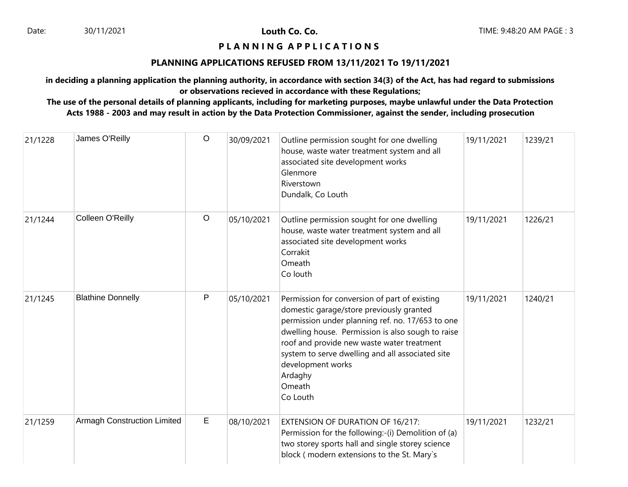## **P L A N N I N G A P P L I C A T I O N S**

### **PLANNING APPLICATIONS REFUSED FROM 13/11/2021 To 19/11/2021**

**in deciding a planning application the planning authority, in accordance with section 34(3) of the Act, has had regard to submissions or observations recieved in accordance with these Regulations;**

**The use of the personal details of planning applicants, including for marketing purposes, maybe unlawful under the Data Protection Acts 1988 - 2003 and may result in action by the Data Protection Commissioner, against the sender, including prosecution**

| 21/1228 | James O'Reilly                     | $\circ$ | 30/09/2021 | Outline permission sought for one dwelling<br>house, waste water treatment system and all<br>associated site development works<br>Glenmore<br>Riverstown<br>Dundalk, Co Louth                                                                                                                                                                              | 19/11/2021 | 1239/21 |
|---------|------------------------------------|---------|------------|------------------------------------------------------------------------------------------------------------------------------------------------------------------------------------------------------------------------------------------------------------------------------------------------------------------------------------------------------------|------------|---------|
| 21/1244 | Colleen O'Reilly                   | $\circ$ | 05/10/2021 | Outline permission sought for one dwelling<br>house, waste water treatment system and all<br>associated site development works<br>Corrakit<br>Omeath<br>Co louth                                                                                                                                                                                           | 19/11/2021 | 1226/21 |
| 21/1245 | <b>Blathine Donnelly</b>           | P       | 05/10/2021 | Permission for conversion of part of existing<br>domestic garage/store previously granted<br>permission under planning ref. no. 17/653 to one<br>dwelling house. Permission is also sough to raise<br>roof and provide new waste water treatment<br>system to serve dwelling and all associated site<br>development works<br>Ardaghy<br>Omeath<br>Co Louth | 19/11/2021 | 1240/21 |
| 21/1259 | <b>Armagh Construction Limited</b> | E       | 08/10/2021 | EXTENSION OF DURATION OF 16/217:<br>Permission for the following:-(i) Demolition of (a)<br>two storey sports hall and single storey science<br>block (modern extensions to the St. Mary's                                                                                                                                                                  | 19/11/2021 | 1232/21 |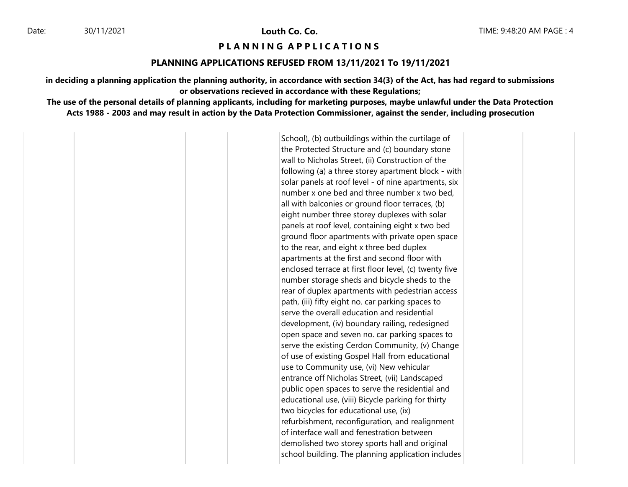30/11/2021 **Louth Co. Co.**

#### **P L A N N I N G A P P L I C A T I O N S**

### **PLANNING APPLICATIONS REFUSED FROM 13/11/2021 To 19/11/2021**

**in deciding a planning application the planning authority, in accordance with section 34(3) of the Act, has had regard to submissions or observations recieved in accordance with these Regulations;**

**The use of the personal details of planning applicants, including for marketing purposes, maybe unlawful under the Data Protection Acts 1988 - 2003 and may result in action by the Data Protection Commissioner, against the sender, including prosecution**

> School), (b) outbuildings within the curtilage of the Protected Structure and (c) boundary stone wall to Nicholas Street, (ii) Construction of the following (a) a three storey apartment block - with solar panels at roof level - of nine apartments, six number x one bed and three number x two bed, all with balconies or ground floor terraces, (b) eight number three storey duplexes with solar panels at roof level, containing eight x two bed ground floor apartments with private open space to the rear, and eight x three bed duplex apartments at the first and second floor with enclosed terrace at first floor level, (c) twenty five number storage sheds and bicycle sheds to the rear of duplex apartments with pedestrian access path, (iii) fifty eight no. car parking spaces to serve the overall education and residential development, (iv) boundary railing, redesigned open space and seven no. car parking spaces to serve the existing Cerdon Community, (v) Change of use of existing Gospel Hall from educational use to Community use, (vi) New vehicular entrance off Nicholas Street, (vii) Landscaped public open spaces to serve the residential and educational use, (viii) Bicycle parking for thirty two bicycles for educational use, (ix) refurbishment, reconfiguration, and realignment of interface wall and fenestration between demolished two storey sports hall and original school building. The planning application includes